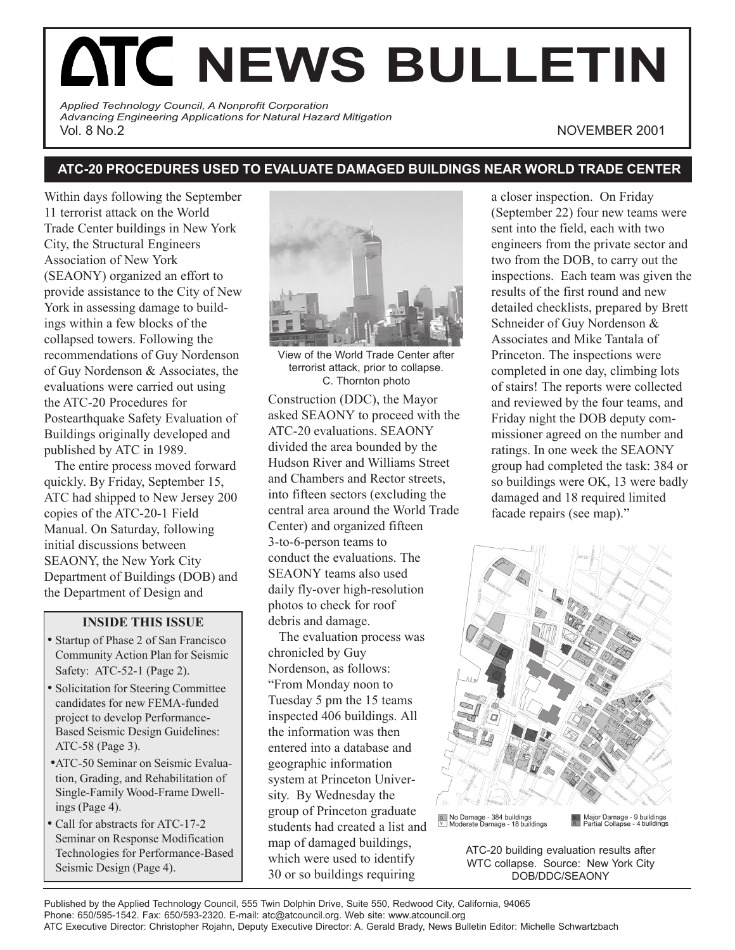# **ATC NEWS BULLETIN**

*Applied Technology Council, A Nonprofit Corporation Advancing Engineering Applications for Natural Hazard Mitigation* Vol. 8 No.2 NOVEMBER 2001

# **ATC-20 PROCEDURES USED TO EVALUATE DAMAGED BUILDINGS NEAR WORLD TRADE CENTER**

Within days following the September 11 terrorist attack on the World Trade Center buildings in New York City, the Structural Engineers Association of New York (SEAONY) organized an effort to provide assistance to the City of New York in assessing damage to buildings within a few blocks of the collapsed towers. Following the recommendations of Guy Nordenson of Guy Nordenson & Associates, the evaluations were carried out using the ATC-20 Procedures for Postearthquake Safety Evaluation of Buildings originally developed and published by ATC in 1989.

The entire process moved forward quickly. By Friday, September 15, ATC had shipped to New Jersey 200 copies of the ATC-20-1 Field Manual. On Saturday, following initial discussions between SEAONY, the New York City Department of Buildings (DOB) and the Department of Design and

## **INSIDE THIS ISSUE**

- Startup of Phase 2 of San Francisco Community Action Plan for Seismic Safety: ATC-52-1 (Page 2).
- Solicitation for Steering Committee candidates for new FEMA-funded project to develop Performance-Based Seismic Design Guidelines: ATC-58 (Page 3).
- •ATC-50 Seminar on Seismic Evaluation, Grading, and Rehabilitation of Single-Family Wood-Frame Dwellings (Page 4).
- Call for abstracts for ATC-17-2 Seminar on Response Modification Technologies for Performance-Based Seismic Design (Page 4).



View of the World Trade Center after terrorist attack, prior to collapse. C. Thornton photo

Construction (DDC), the Mayor asked SEAONY to proceed with the ATC-20 evaluations. SEAONY divided the area bounded by the Hudson River and Williams Street and Chambers and Rector streets, into fifteen sectors (excluding the central area around the World Trade Center) and organized fifteen 3-to-6-person teams to conduct the evaluations. The SEAONY teams also used daily fly-over high-resolution photos to check for roof debris and damage.

The evaluation process was chronicled by Guy Nordenson, as follows: "From Monday noon to Tuesday 5 pm the 15 teams inspected 406 buildings. All the information was then entered into a database and geographic information system at Princeton University. By Wednesday the group of Princeton graduate students had created a list and map of damaged buildings, which were used to identify 30 or so buildings requiring

a closer inspection. On Friday (September 22) four new teams were sent into the field, each with two engineers from the private sector and two from the DOB, to carry out the inspections. Each team was given the results of the first round and new detailed checklists, prepared by Brett Schneider of Guy Nordenson & Associates and Mike Tantala of Princeton. The inspections were completed in one day, climbing lots of stairs! The reports were collected and reviewed by the four teams, and Friday night the DOB deputy commissioner agreed on the number and ratings. In one week the SEAONY group had completed the task: 384 or so buildings were OK, 13 were badly damaged and 18 required limited facade repairs (see map)."



ATC-20 building evaluation results after WTC collapse. Source: New York City DOB/DDC/SEAONY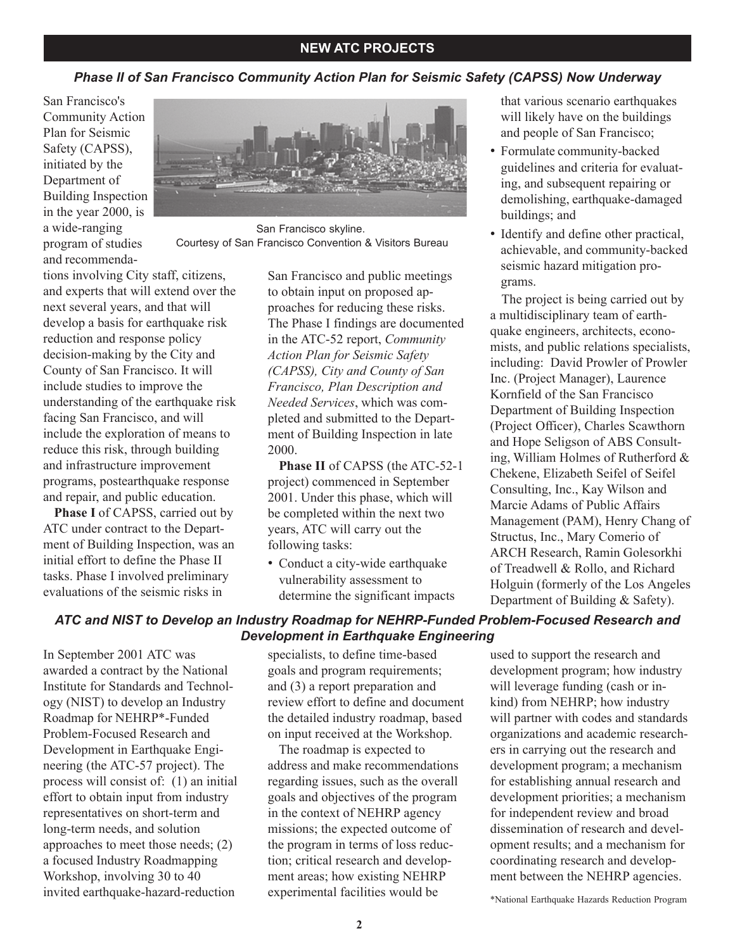## **NEW ATC PROJECTS**

### *Phase II of San Francisco Community Action Plan for Seismic Safety (CAPSS) Now Underway*

San Francisco's Community Action Plan for Seismic Safety (CAPSS), initiated by the Department of Building Inspection in the year 2000, is a wide-ranging program of studies and recommenda-



San Francisco skyline. Courtesy of San Francisco Convention & Visitors Bureau

tions involving City staff, citizens, and experts that will extend over the next several years, and that will develop a basis for earthquake risk reduction and response policy decision-making by the City and County of San Francisco. It will include studies to improve the understanding of the earthquake risk facing San Francisco, and will include the exploration of means to reduce this risk, through building and infrastructure improvement programs, postearthquake response and repair, and public education.

**Phase I** of CAPSS, carried out by ATC under contract to the Department of Building Inspection, was an initial effort to define the Phase II tasks. Phase I involved preliminary evaluations of the seismic risks in

San Francisco and public meetings to obtain input on proposed approaches for reducing these risks. The Phase I findings are documented in the ATC-52 report, *Community Action Plan for Seismic Safety (CAPSS), City and County of San Francisco, Plan Description and Needed Services*, which was completed and submitted to the Department of Building Inspection in late 2000.

**Phase II** of CAPSS (the ATC-52-1 project) commenced in September 2001. Under this phase, which will be completed within the next two years, ATC will carry out the following tasks:

• Conduct a city-wide earthquake vulnerability assessment to determine the significant impacts

that various scenario earthquakes will likely have on the buildings and people of San Francisco;

- Formulate community-backed guidelines and criteria for evaluating, and subsequent repairing or demolishing, earthquake-damaged buildings; and
- Identify and define other practical, achievable, and community-backed seismic hazard mitigation programs.

The project is being carried out by a multidisciplinary team of earthquake engineers, architects, economists, and public relations specialists, including: David Prowler of Prowler Inc. (Project Manager), Laurence Kornfield of the San Francisco Department of Building Inspection (Project Officer), Charles Scawthorn and Hope Seligson of ABS Consulting, William Holmes of Rutherford & Chekene, Elizabeth Seifel of Seifel Consulting, Inc., Kay Wilson and Marcie Adams of Public Affairs Management (PAM), Henry Chang of Structus, Inc., Mary Comerio of ARCH Research, Ramin Golesorkhi of Treadwell & Rollo, and Richard Holguin (formerly of the Los Angeles Department of Building & Safety).

#### *ATC and NIST to Develop an Industry Roadmap for NEHRP-Funded Problem-Focused Research and Development in Earthquake Engineering*

In September 2001 ATC was awarded a contract by the National Institute for Standards and Technology (NIST) to develop an Industry Roadmap for NEHRP\*-Funded Problem-Focused Research and Development in Earthquake Engineering (the ATC-57 project). The process will consist of: (1) an initial effort to obtain input from industry representatives on short-term and long-term needs, and solution approaches to meet those needs; (2) a focused Industry Roadmapping Workshop, involving 30 to 40 invited earthquake-hazard-reduction

specialists, to define time-based goals and program requirements; and (3) a report preparation and review effort to define and document the detailed industry roadmap, based on input received at the Workshop.

The roadmap is expected to address and make recommendations regarding issues, such as the overall goals and objectives of the program in the context of NEHRP agency missions; the expected outcome of the program in terms of loss reduction; critical research and development areas; how existing NEHRP experimental facilities would be

used to support the research and development program; how industry will leverage funding (cash or inkind) from NEHRP; how industry will partner with codes and standards organizations and academic researchers in carrying out the research and development program; a mechanism for establishing annual research and development priorities; a mechanism for independent review and broad dissemination of research and development results; and a mechanism for coordinating research and development between the NEHRP agencies.

\*National Earthquake Hazards Reduction Program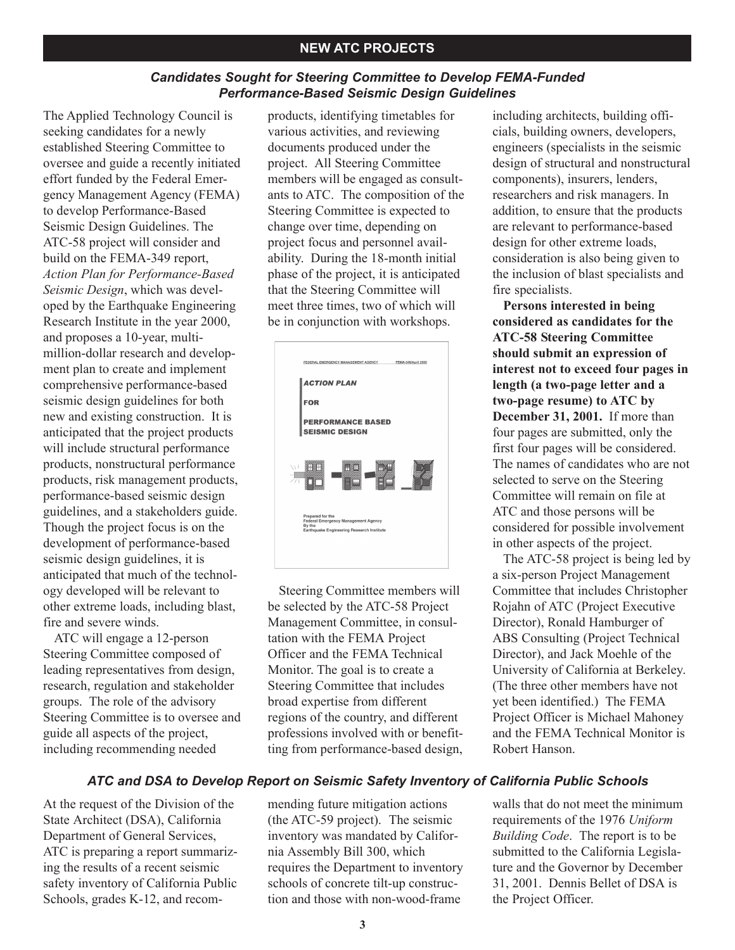### *Candidates Sought for Steering Committee to Develop FEMA-Funded Performance-Based Seismic Design Guidelines*

The Applied Technology Council is seeking candidates for a newly established Steering Committee to oversee and guide a recently initiated effort funded by the Federal Emergency Management Agency (FEMA) to develop Performance-Based Seismic Design Guidelines. The ATC-58 project will consider and build on the FEMA-349 report, *Action Plan for Performance-Based Seismic Design*, which was developed by the Earthquake Engineering Research Institute in the year 2000, and proposes a 10-year, multimillion-dollar research and development plan to create and implement comprehensive performance-based seismic design guidelines for both new and existing construction. It is anticipated that the project products will include structural performance products, nonstructural performance products, risk management products, performance-based seismic design guidelines, and a stakeholders guide. Though the project focus is on the development of performance-based seismic design guidelines, it is anticipated that much of the technology developed will be relevant to other extreme loads, including blast, fire and severe winds.

ATC will engage a 12-person Steering Committee composed of leading representatives from design, research, regulation and stakeholder groups. The role of the advisory Steering Committee is to oversee and guide all aspects of the project, including recommending needed

products, identifying timetables for various activities, and reviewing documents produced under the project. All Steering Committee members will be engaged as consultants to ATC. The composition of the Steering Committee is expected to change over time, depending on project focus and personnel availability. During the 18-month initial phase of the project, it is anticipated that the Steering Committee will meet three times, two of which will be in conjunction with workshops.



Steering Committee members will be selected by the ATC-58 Project Management Committee, in consultation with the FEMA Project Officer and the FEMA Technical Monitor. The goal is to create a Steering Committee that includes broad expertise from different regions of the country, and different professions involved with or benefitting from performance-based design, including architects, building officials, building owners, developers, engineers (specialists in the seismic design of structural and nonstructural components), insurers, lenders, researchers and risk managers. In addition, to ensure that the products are relevant to performance-based design for other extreme loads, consideration is also being given to the inclusion of blast specialists and fire specialists.

**Persons interested in being considered as candidates for the ATC-58 Steering Committee should submit an expression of interest not to exceed four pages in length (a two-page letter and a two-page resume) to ATC by December 31, 2001.** If more than four pages are submitted, only the first four pages will be considered. The names of candidates who are not selected to serve on the Steering Committee will remain on file at ATC and those persons will be considered for possible involvement in other aspects of the project.

The ATC-58 project is being led by a six-person Project Management Committee that includes Christopher Rojahn of ATC (Project Executive Director), Ronald Hamburger of ABS Consulting (Project Technical Director), and Jack Moehle of the University of California at Berkeley. (The three other members have not yet been identified.) The FEMA Project Officer is Michael Mahoney and the FEMA Technical Monitor is Robert Hanson.

# *ATC and DSA to Develop Report on Seismic Safety Inventory of California Public Schools*

At the request of the Division of the State Architect (DSA), California Department of General Services, ATC is preparing a report summarizing the results of a recent seismic safety inventory of California Public Schools, grades K-12, and recom-

mending future mitigation actions (the ATC-59 project). The seismic inventory was mandated by California Assembly Bill 300, which requires the Department to inventory schools of concrete tilt-up construction and those with non-wood-frame

walls that do not meet the minimum requirements of the 1976 *Uniform Building Code*. The report is to be submitted to the California Legislature and the Governor by December 31, 2001. Dennis Bellet of DSA is the Project Officer.